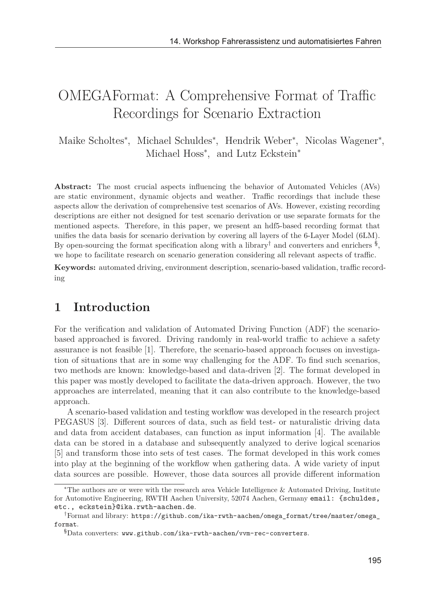# OMEGAFormat: A Comprehensive Format of Traffic Recordings for Scenario Extraction

Maike Scholtes<sup>\*</sup>, Michael Schuldes<sup>\*</sup>, Hendrik Weber<sup>\*</sup>, Nicolas Wagener<sup>\*</sup>, Michael Hoss<sup>\*</sup>, and Lutz Eckstein<sup>\*</sup>

**Abstract:** The most crucial aspects influencing the behavior of Automated Vehicles (AVs) are static environment, dynamic objects and weather. Traffic recordings that include these aspects allow the derivation of comprehensive test scenarios of AVs. However, existing recording descriptions are either not designed for test scenario derivation or use separate formats for the mentioned aspects. Therefore, in this paper, we present an hdf5-based recording format that unifies the data basis for scenario derivation by covering all layers of the 6-Layer Model (6LM). By open-sourcing the format specification along with a library<sup>†</sup> and converters and enrichers  $\frac{8}{3}$ , we hope to facilitate research on scenario generation considering all relevant aspects of traffic.

**Keywords:** automated driving, environment description, scenario-based validation, traffic recording

# **1 Introduction**

For the verification and validation of Automated Driving Function (ADF) the scenariobased approached is favored. Driving randomly in real-world traffic to achieve a safety assurance is not feasible [1]. Therefore, the scenario-based approach focuses on investigation of situations that are in some way challenging for the ADF. To find such scenarios, two methods are known: knowledge-based and data-driven [2]. The format developed in this paper was mostly developed to facilitate the data-driven approach. However, the two approaches are interrelated, meaning that it can also contribute to the knowledge-based approach.

A scenario-based validation and testing workflow was developed in the research project PEGASUS [3]. Different sources of data, such as field test- or naturalistic driving data and data from accident databases, can function as input information [4]. The available data can be stored in a database and subsequently analyzed to derive logical scenarios [5] and transform those into sets of test cases. The format developed in this work comes into play at the beginning of the workflow when gathering data. A wide variety of input data sources are possible. However, those data sources all provide different information

<sup>∗</sup>The authors are or were with the research area Vehicle Intelligence & Automated Driving, Institute for Automotive Engineering, RWTH Aachen University, 52074 Aachen, Germany email: {schuldes, etc., eckstein}@ika.rwth-aachen.de.

<sup>†</sup>Format and library: https://github.com/ika-rwth-aachen/omega\_format/tree/master/omega\_ format.

<sup>§</sup>Data converters: www.github.com/ika-rwth-aachen/vvm-rec-converters.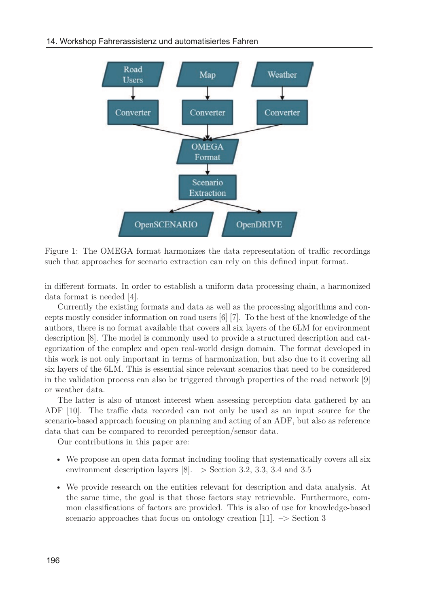

Figure 1: The OMEGA format harmonizes the data representation of traffic recordings such that approaches for scenario extraction can rely on this defined input format.

in different formats. In order to establish a uniform data processing chain, a harmonized data format is needed [4].

Currently the existing formats and data as well as the processing algorithms and concepts mostly consider information on road users [6] [7]. To the best of the knowledge of the authors, there is no format available that covers all six layers of the 6LM for environment description [8]. The model is commonly used to provide a structured description and categorization of the complex and open real-world design domain. The format developed in this work is not only important in terms of harmonization, but also due to it covering all six layers of the 6LM. This is essential since relevant scenarios that need to be considered in the validation process can also be triggered through properties of the road network [9] or weather data.

The latter is also of utmost interest when assessing perception data gathered by an ADF [10]. The traffic data recorded can not only be used as an input source for the scenario-based approach focusing on planning and acting of an ADF, but also as reference data that can be compared to recorded perception/sensor data.

Our contributions in this paper are:

- We propose an open data format including tooling that systematically covers all six environment description layers [8]. –> Section 3.2, 3.3, 3.4 and 3.5
- We provide research on the entities relevant for description and data analysis. At the same time, the goal is that those factors stay retrievable. Furthermore, common classifications of factors are provided. This is also of use for knowledge-based scenario approaches that focus on ontology creation [11].  $\Rightarrow$  Section 3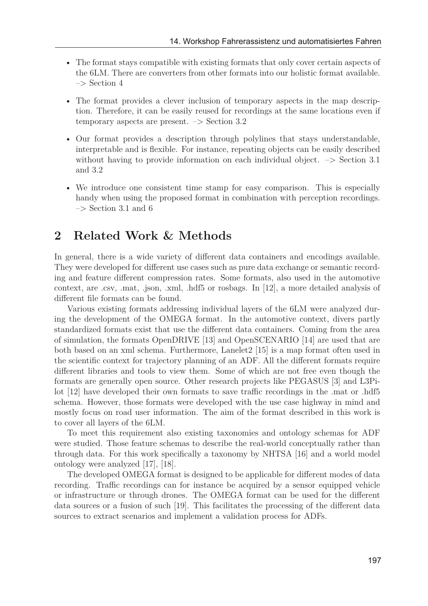- The format stays compatible with existing formats that only cover certain aspects of the 6LM. There are converters from other formats into our holistic format available.  $\Rightarrow$  Section 4
- The format provides a clever inclusion of temporary aspects in the map description. Therefore, it can be easily reused for recordings at the same locations even if temporary aspects are present.  $\Rightarrow$  Section 3.2
- Our format provides a description through polylines that stays understandable, interpretable and is flexible. For instance, repeating objects can be easily described without having to provide information on each individual object.  $\rightarrow$  Section 3.1 and 3.2
- We introduce one consistent time stamp for easy comparison. This is especially handy when using the proposed format in combination with perception recordings.  $\Rightarrow$  Section 3.1 and 6

## **2 Related Work & Methods**

In general, there is a wide variety of different data containers and encodings available. They were developed for different use cases such as pure data exchange or semantic recording and feature different compression rates. Some formats, also used in the automotive context, are .csv, .mat, .json, .xml, .hdf5 or rosbags. In [12], a more detailed analysis of different file formats can be found.

Various existing formats addressing individual layers of the 6LM were analyzed during the development of the OMEGA format. In the automotive context, divers partly standardized formats exist that use the different data containers. Coming from the area of simulation, the formats OpenDRIVE [13] and OpenSCENARIO [14] are used that are both based on an xml schema. Furthermore, Lanelet2 [15] is a map format often used in the scientific context for trajectory planning of an ADF. All the different formats require different libraries and tools to view them. Some of which are not free even though the formats are generally open source. Other research projects like PEGASUS [3] and L3Pilot [12] have developed their own formats to save traffic recordings in the .mat or .hdf5 schema. However, those formats were developed with the use case highway in mind and mostly focus on road user information. The aim of the format described in this work is to cover all layers of the 6LM.

To meet this requirement also existing taxonomies and ontology schemas for ADF were studied. Those feature schemas to describe the real-world conceptually rather than through data. For this work specifically a taxonomy by NHTSA [16] and a world model ontology were analyzed [17], [18].

The developed OMEGA format is designed to be applicable for different modes of data recording. Traffic recordings can for instance be acquired by a sensor equipped vehicle or infrastructure or through drones. The OMEGA format can be used for the different data sources or a fusion of such [19]. This facilitates the processing of the different data sources to extract scenarios and implement a validation process for ADFs.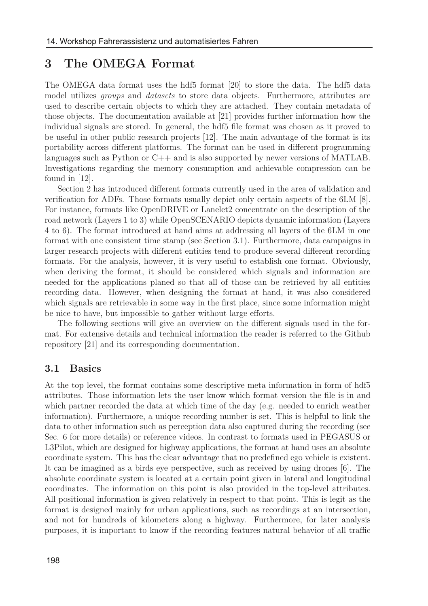## **3 The OMEGA Format**

The OMEGA data format uses the hdf5 format [20] to store the data. The hdf5 data model utilizes *groups* and *datasets* to store data objects. Furthermore, attributes are used to describe certain objects to which they are attached. They contain metadata of those objects. The documentation available at [21] provides further information how the individual signals are stored. In general, the hdf5 file format was chosen as it proved to be useful in other public research projects [12]. The main advantage of the format is its portability across different platforms. The format can be used in different programming languages such as Python or C++ and is also supported by newer versions of MATLAB. Investigations regarding the memory consumption and achievable compression can be found in [12].

Section 2 has introduced different formats currently used in the area of validation and verification for ADFs. Those formats usually depict only certain aspects of the 6LM [8]. For instance, formats like OpenDRIVE or Lanelet2 concentrate on the description of the road network (Layers 1 to 3) while OpenSCENARIO depicts dynamic information (Layers 4 to 6). The format introduced at hand aims at addressing all layers of the 6LM in one format with one consistent time stamp (see Section 3.1). Furthermore, data campaigns in larger research projects with different entities tend to produce several different recording formats. For the analysis, however, it is very useful to establish one format. Obviously, when deriving the format, it should be considered which signals and information are needed for the applications planed so that all of those can be retrieved by all entities recording data. However, when designing the format at hand, it was also considered which signals are retrievable in some way in the first place, since some information might be nice to have, but impossible to gather without large efforts.

The following sections will give an overview on the different signals used in the format. For extensive details and technical information the reader is referred to the Github repository [21] and its corresponding documentation.

#### **3.1 Basics**

At the top level, the format contains some descriptive meta information in form of hdf5 attributes. Those information lets the user know which format version the file is in and which partner recorded the data at which time of the day (e.g. needed to enrich weather information). Furthermore, a unique recording number is set. This is helpful to link the data to other information such as perception data also captured during the recording (see Sec. 6 for more details) or reference videos. In contrast to formats used in PEGASUS or L3Pilot, which are designed for highway applications, the format at hand uses an absolute coordinate system. This has the clear advantage that no predefined ego vehicle is existent. It can be imagined as a birds eye perspective, such as received by using drones [6]. The absolute coordinate system is located at a certain point given in lateral and longitudinal coordinates. The information on this point is also provided in the top-level attributes. All positional information is given relatively in respect to that point. This is legit as the format is designed mainly for urban applications, such as recordings at an intersection, and not for hundreds of kilometers along a highway. Furthermore, for later analysis purposes, it is important to know if the recording features natural behavior of all traffic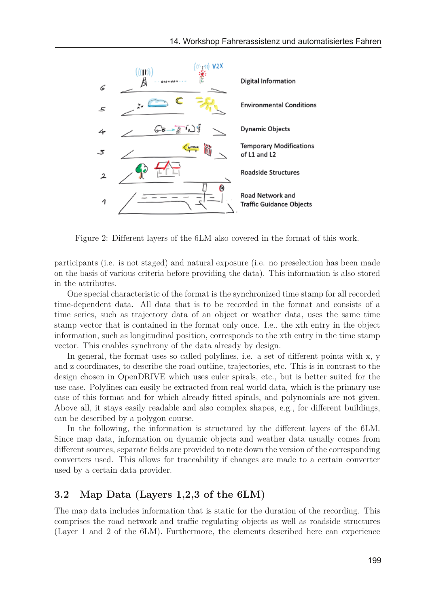

Figure 2: Different layers of the 6LM also covered in the format of this work.

participants (i.e. is not staged) and natural exposure (i.e. no preselection has been made on the basis of various criteria before providing the data). This information is also stored in the attributes.

One special characteristic of the format is the synchronized time stamp for all recorded time-dependent data. All data that is to be recorded in the format and consists of a time series, such as trajectory data of an object or weather data, uses the same time stamp vector that is contained in the format only once. I.e., the xth entry in the object information, such as longitudinal position, corresponds to the xth entry in the time stamp vector. This enables synchrony of the data already by design.

In general, the format uses so called polylines, i.e. a set of different points with x, y and z coordinates, to describe the road outline, trajectories, etc. This is in contrast to the design chosen in OpenDRIVE which uses euler spirals, etc., but is better suited for the use case. Polylines can easily be extracted from real world data, which is the primary use case of this format and for which already fitted spirals, and polynomials are not given. Above all, it stays easily readable and also complex shapes, e.g., for different buildings, can be described by a polygon course.

In the following, the information is structured by the different layers of the 6LM. Since map data, information on dynamic objects and weather data usually comes from different sources, separate fields are provided to note down the version of the corresponding converters used. This allows for traceability if changes are made to a certain converter used by a certain data provider.

#### **3.2 Map Data (Layers 1,2,3 of the 6LM)**

The map data includes information that is static for the duration of the recording. This comprises the road network and traffic regulating objects as well as roadside structures (Layer 1 and 2 of the 6LM). Furthermore, the elements described here can experience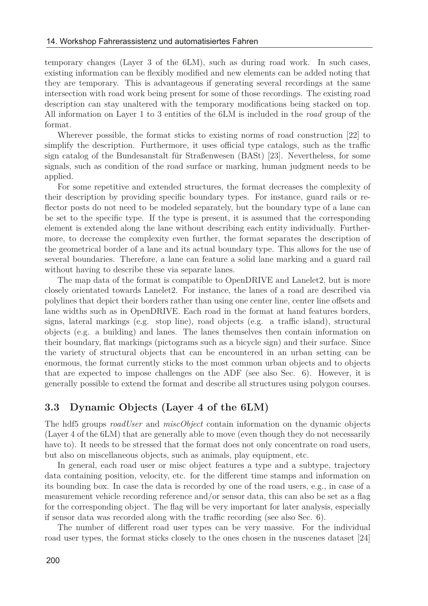temporary changes (Layer 3 of the 6LM), such as during road work. In such cases, existing information can be flexibly modified and new elements can be added noting that they are temporary. This is advantageous if generating several recordings at the same intersection with road work being present for some of those recordings. The existing road description can stay unaltered with the temporary modifications being stacked on top. All information on Layer 1 to 3 entities of the 6LM is included in the *road* group of the format.

Wherever possible, the format sticks to existing norms of road construction [22] to simplify the description. Furthermore, it uses official type catalogs, such as the traffic sign catalog of the Bundesanstalt für Straßenwesen (BASt) [23]. Nevertheless, for some signals, such as condition of the road surface or marking, human judgment needs to be applied.

For some repetitive and extended structures, the format decreases the complexity of their description by providing specific boundary types. For instance, guard rails or reflector posts do not need to be modeled separately, but the boundary type of a lane can be set to the specific type. If the type is present, it is assumed that the corresponding element is extended along the lane without describing each entity individually. Furthermore, to decrease the complexity even further, the format separates the description of the geometrical border of a lane and its actual boundary type. This allows for the use of several boundaries. Therefore, a lane can feature a solid lane marking and a guard rail without having to describe these via separate lanes.

The map data of the format is compatible to OpenDRIVE and Lanelet2, but is more closely orientated towards Lanelet2. For instance, the lanes of a road are described via polylines that depict their borders rather than using one center line, center line offsets and lane widths such as in OpenDRIVE. Each road in the format at hand features borders, signs, lateral markings (e.g. stop line), road objects (e.g. a traffic island), structural objects (e.g. a building) and lanes. The lanes themselves then contain information on their boundary, flat markings (pictograms such as a bicycle sign) and their surface. Since the variety of structural objects that can be encountered in an urban setting can be enormous, the format currently sticks to the most common urban objects and to objects that are expected to impose challenges on the ADF (see also Sec. 6). However, it is generally possible to extend the format and describe all structures using polygon courses.

#### **3.3 Dynamic Objects (Layer 4 of the 6LM)**

The hdf5 groups *roadUser* and *miscObject* contain information on the dynamic objects (Layer 4 of the 6LM) that are generally able to move (even though they do not necessarily have to). It needs to be stressed that the format does not only concentrate on road users, but also on miscellaneous objects, such as animals, play equipment, etc.

In general, each road user or misc object features a type and a subtype, trajectory data containing position, velocity, etc. for the different time stamps and information on its bounding box. In case the data is recorded by one of the road users, e.g., in case of a measurement vehicle recording reference and/or sensor data, this can also be set as a flag for the corresponding object. The flag will be very important for later analysis, especially if sensor data was recorded along with the traffic recording (see also Sec. 6).

The number of different road user types can be very massive. For the individual road user types, the format sticks closely to the ones chosen in the nuscenes dataset [24]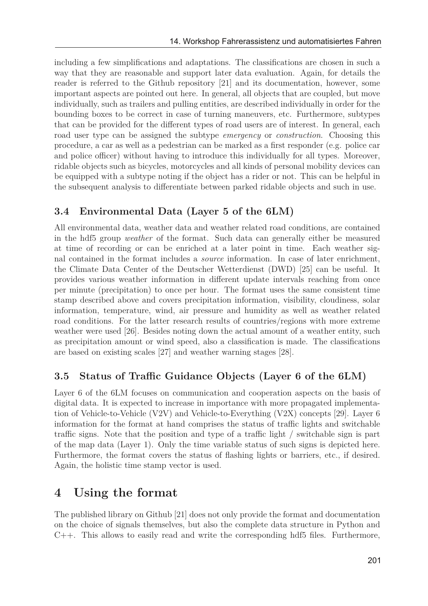including a few simplifications and adaptations. The classifications are chosen in such a way that they are reasonable and support later data evaluation. Again, for details the reader is referred to the Github repository [21] and its documentation, however, some important aspects are pointed out here. In general, all objects that are coupled, but move individually, such as trailers and pulling entities, are described individually in order for the bounding boxes to be correct in case of turning maneuvers, etc. Furthermore, subtypes that can be provided for the different types of road users are of interest. In general, each road user type can be assigned the subtype *emergency* or *construction*. Choosing this procedure, a car as well as a pedestrian can be marked as a first responder (e.g. police car and police officer) without having to introduce this individually for all types. Moreover, ridable objects such as bicycles, motorcycles and all kinds of personal mobility devices can be equipped with a subtype noting if the object has a rider or not. This can be helpful in the subsequent analysis to differentiate between parked ridable objects and such in use.

### **3.4 Environmental Data (Layer 5 of the 6LM)**

All environmental data, weather data and weather related road conditions, are contained in the hdf5 group *weather* of the format. Such data can generally either be measured at time of recording or can be enriched at a later point in time. Each weather signal contained in the format includes a *source* information. In case of later enrichment, the Climate Data Center of the Deutscher Wetterdienst (DWD) [25] can be useful. It provides various weather information in different update intervals reaching from once per minute (precipitation) to once per hour. The format uses the same consistent time stamp described above and covers precipitation information, visibility, cloudiness, solar information, temperature, wind, air pressure and humidity as well as weather related road conditions. For the latter research results of countries/regions with more extreme weather were used [26]. Besides noting down the actual amount of a weather entity, such as precipitation amount or wind speed, also a classification is made. The classifications are based on existing scales [27] and weather warning stages [28].

#### **3.5 Status of Traffic Guidance Objects (Layer 6 of the 6LM)**

Layer 6 of the 6LM focuses on communication and cooperation aspects on the basis of digital data. It is expected to increase in importance with more propagated implementation of Vehicle-to-Vehicle (V2V) and Vehicle-to-Everything (V2X) concepts [29]. Layer 6 information for the format at hand comprises the status of traffic lights and switchable traffic signs. Note that the position and type of a traffic light / switchable sign is part of the map data (Layer 1). Only the time variable status of such signs is depicted here. Furthermore, the format covers the status of flashing lights or barriers, etc., if desired. Again, the holistic time stamp vector is used.

## **4 Using the format**

The published library on Github [21] does not only provide the format and documentation on the choice of signals themselves, but also the complete data structure in Python and C++. This allows to easily read and write the corresponding hdf5 files. Furthermore,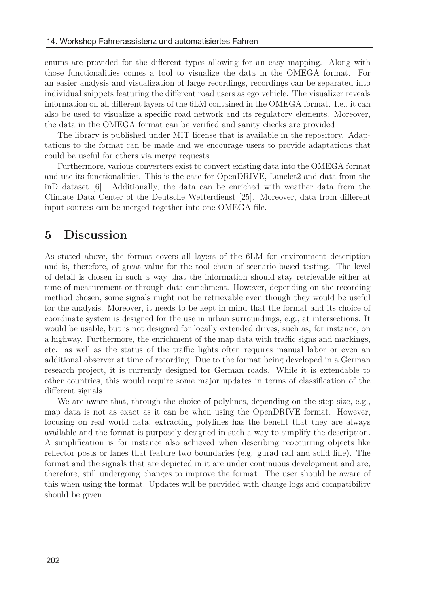enums are provided for the different types allowing for an easy mapping. Along with those functionalities comes a tool to visualize the data in the OMEGA format. For an easier analysis and visualization of large recordings, recordings can be separated into individual snippets featuring the different road users as ego vehicle. The visualizer reveals information on all different layers of the 6LM contained in the OMEGA format. I.e., it can also be used to visualize a specific road network and its regulatory elements. Moreover, the data in the OMEGA format can be verified and sanity checks are provided

The library is published under MIT license that is available in the repository. Adaptations to the format can be made and we encourage users to provide adaptations that could be useful for others via merge requests.

Furthermore, various converters exist to convert existing data into the OMEGA format and use its functionalities. This is the case for OpenDRIVE, Lanelet2 and data from the inD dataset [6]. Additionally, the data can be enriched with weather data from the Climate Data Center of the Deutsche Wetterdienst [25]. Moreover, data from different input sources can be merged together into one OMEGA file.

## **5 Discussion**

As stated above, the format covers all layers of the 6LM for environment description and is, therefore, of great value for the tool chain of scenario-based testing. The level of detail is chosen in such a way that the information should stay retrievable either at time of measurement or through data enrichment. However, depending on the recording method chosen, some signals might not be retrievable even though they would be useful for the analysis. Moreover, it needs to be kept in mind that the format and its choice of coordinate system is designed for the use in urban surroundings, e.g., at intersections. It would be usable, but is not designed for locally extended drives, such as, for instance, on a highway. Furthermore, the enrichment of the map data with traffic signs and markings, etc. as well as the status of the traffic lights often requires manual labor or even an additional observer at time of recording. Due to the format being developed in a German research project, it is currently designed for German roads. While it is extendable to other countries, this would require some major updates in terms of classification of the different signals.

We are aware that, through the choice of polylines, depending on the step size, e.g., map data is not as exact as it can be when using the OpenDRIVE format. However, focusing on real world data, extracting polylines has the benefit that they are always available and the format is purposely designed in such a way to simplify the description. A simplification is for instance also achieved when describing reoccurring objects like reflector posts or lanes that feature two boundaries (e.g. gurad rail and solid line). The format and the signals that are depicted in it are under continuous development and are, therefore, still undergoing changes to improve the format. The user should be aware of this when using the format. Updates will be provided with change logs and compatibility should be given.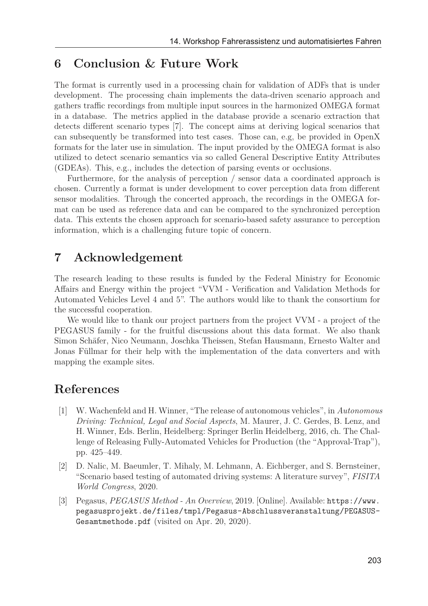## **6 Conclusion & Future Work**

The format is currently used in a processing chain for validation of ADFs that is under development. The processing chain implements the data-driven scenario approach and gathers traffic recordings from multiple input sources in the harmonized OMEGA format in a database. The metrics applied in the database provide a scenario extraction that detects different scenario types [7]. The concept aims at deriving logical scenarios that can subsequently be transformed into test cases. Those can, e.g, be provided in OpenX formats for the later use in simulation. The input provided by the OMEGA format is also utilized to detect scenario semantics via so called General Descriptive Entity Attributes (GDEAs). This, e.g., includes the detection of parsing events or occlusions.

Furthermore, for the analysis of perception / sensor data a coordinated approach is chosen. Currently a format is under development to cover perception data from different sensor modalities. Through the concerted approach, the recordings in the OMEGA format can be used as reference data and can be compared to the synchronized perception data. This extents the chosen approach for scenario-based safety assurance to perception information, which is a challenging future topic of concern.

## **7 Acknowledgement**

The research leading to these results is funded by the Federal Ministry for Economic Affairs and Energy within the project "VVM - Verification and Validation Methods for Automated Vehicles Level 4 and 5". The authors would like to thank the consortium for the successful cooperation.

We would like to thank our project partners from the project VVM - a project of the PEGASUS family - for the fruitful discussions about this data format. We also thank Simon Schäfer, Nico Neumann, Joschka Theissen, Stefan Hausmann, Ernesto Walter and Jonas Füllmar for their help with the implementation of the data converters and with mapping the example sites.

## **References**

- [1] W. Wachenfeld and H. Winner, "The release of autonomous vehicles", in *Autonomous Driving: Technical, Legal and Social Aspects*, M. Maurer, J. C. Gerdes, B. Lenz, and H. Winner, Eds. Berlin, Heidelberg: Springer Berlin Heidelberg, 2016, ch. The Challenge of Releasing Fully-Automated Vehicles for Production (the "Approval-Trap"), pp. 425–449.
- [2] D. Nalic, M. Baeumler, T. Mihaly, M. Lehmann, A. Eichberger, and S. Bernsteiner, "Scenario based testing of automated driving systems: A literature survey", *FISITA World Congress*, 2020.
- [3] Pegasus, *PEGASUS Method An Overview*, 2019. [Online]. Available: https://www. pegasusprojekt.de/files/tmpl/Pegasus-Abschlussveranstaltung/PEGASUS-Gesamtmethode.pdf (visited on Apr. 20, 2020).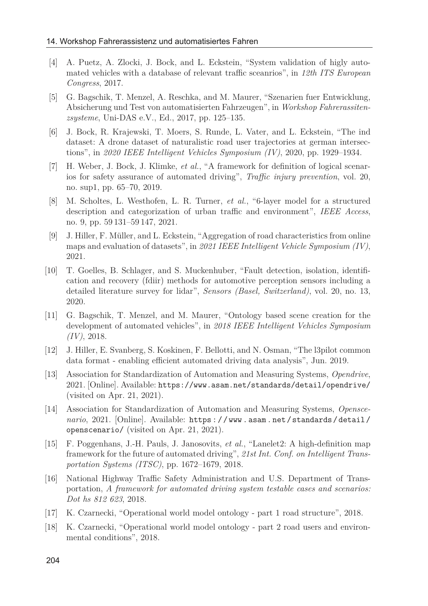- [4] A. Puetz, A. Zlocki, J. Bock, and L. Eckstein, "System validation of higly automated vehicles with a database of relevant traffic sceanrios", in *12th ITS European Congress*, 2017.
- [5] G. Bagschik, T. Menzel, A. Reschka, and M. Maurer, "Szenarien fuer Entwicklung, Absicherung und Test von automatisierten Fahrzeugen", in *Workshop Fahrerassitenzsysteme*, Uni-DAS e.V., Ed., 2017, pp. 125–135.
- [6] J. Bock, R. Krajewski, T. Moers, S. Runde, L. Vater, and L. Eckstein, "The ind dataset: A drone dataset of naturalistic road user trajectories at german intersections", in *2020 IEEE Intelligent Vehicles Symposium (IV)*, 2020, pp. 1929–1934.
- [7] H. Weber, J. Bock, J. Klimke, *et al.*, "A framework for definition of logical scenarios for safety assurance of automated driving", *Traffic injury prevention*, vol. 20, no. sup1, pp. 65–70, 2019.
- [8] M. Scholtes, L. Westhofen, L. R. Turner, *et al.*, "6-layer model for a structured description and categorization of urban traffic and environment", *IEEE Access*, no. 9, pp. 59 131–59 147, 2021.
- [9] J. Hiller, F. Müller, and L. Eckstein, "Aggregation of road characteristics from online maps and evaluation of datasets", in *2021 IEEE Intelligent Vehicle Symposium (IV)*, 2021.
- [10] T. Goelles, B. Schlager, and S. Muckenhuber, "Fault detection, isolation, identification and recovery (fdiir) methods for automotive perception sensors including a detailed literature survey for lidar", *Sensors (Basel, Switzerland)*, vol. 20, no. 13, 2020.
- [11] G. Bagschik, T. Menzel, and M. Maurer, "Ontology based scene creation for the development of automated vehicles", in *2018 IEEE Intelligent Vehicles Symposium (IV)*, 2018.
- [12] J. Hiller, E. Svanberg, S. Koskinen, F. Bellotti, and N. Osman, "The l3pilot common data format - enabling efficient automated driving data analysis", Jun. 2019.
- [13] Association for Standardization of Automation and Measuring Systems, *Opendrive*, 2021. [Online]. Available: https://www.asam.net/standards/detail/opendrive/ (visited on Apr. 21, 2021).
- [14] Association for Standardization of Automation and Measuring Systems, *Openscenario*, 2021. [Online]. Available: https : / / www . asam . net / standards / detail / openscenario/ (visited on Apr. 21, 2021).
- [15] F. Poggenhans, J.-H. Pauls, J. Janosovits, *et al.*, "Lanelet2: A high-definition map framework for the future of automated driving", *21st Int. Conf. on Intelligent Transportation Systems (ITSC)*, pp. 1672–1679, 2018.
- [16] National Highway Traffic Safety Administration and U.S. Department of Transportation, *A framework for automated driving system testable cases and scenarios: Dot hs 812 623*, 2018.
- [17] K. Czarnecki, "Operational world model ontology part 1 road structure", 2018.
- [18] K. Czarnecki, "Operational world model ontology part 2 road users and environmental conditions", 2018.